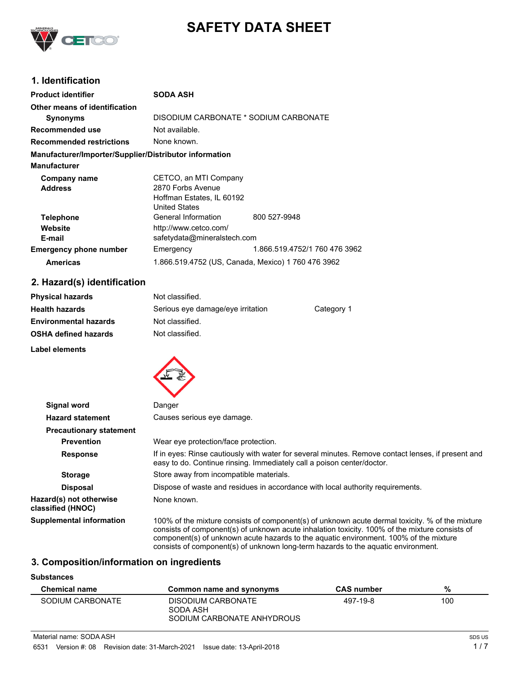

# **SAFETY DATA SHEET**

# **1. Identification**

| <b>Product identifier</b>                              | <b>SODA ASH</b>                                    |                               |
|--------------------------------------------------------|----------------------------------------------------|-------------------------------|
| Other means of identification                          |                                                    |                               |
| <b>Synonyms</b>                                        | DISODIUM CARBONATE * SODIUM CARBONATE              |                               |
| Recommended use                                        | Not available.                                     |                               |
| <b>Recommended restrictions</b>                        | None known.                                        |                               |
| Manufacturer/Importer/Supplier/Distributor information |                                                    |                               |
| <b>Manufacturer</b>                                    |                                                    |                               |
| Company name                                           | CETCO, an MTI Company                              |                               |
| <b>Address</b>                                         | 2870 Forbs Avenue                                  |                               |
|                                                        | Hoffman Estates, IL 60192                          |                               |
|                                                        | <b>United States</b>                               |                               |
| <b>Telephone</b>                                       | General Information                                | 800 527-9948                  |
| Website                                                | http://www.cetco.com/                              |                               |
| E-mail                                                 | safetydata@mineralstech.com                        |                               |
| <b>Emergency phone number</b>                          | Emergency                                          | 1.866.519.4752/1 760 476 3962 |
| <b>Americas</b>                                        | 1.866.519.4752 (US, Canada, Mexico) 1 760 476 3962 |                               |

# **2. Hazard(s) identification**

| <b>Physical hazards</b>      | Not classified.                   |            |
|------------------------------|-----------------------------------|------------|
| <b>Health hazards</b>        | Serious eye damage/eye irritation | Category 1 |
| <b>Environmental hazards</b> | Not classified.                   |            |
| <b>OSHA defined hazards</b>  | Not classified.                   |            |
| Label elements               |                                   |            |



| <b>Signal word</b>                           | Danger                                                                                                                                                                                                                                                                                                                                                                          |
|----------------------------------------------|---------------------------------------------------------------------------------------------------------------------------------------------------------------------------------------------------------------------------------------------------------------------------------------------------------------------------------------------------------------------------------|
| <b>Hazard statement</b>                      | Causes serious eye damage.                                                                                                                                                                                                                                                                                                                                                      |
| <b>Precautionary statement</b>               |                                                                                                                                                                                                                                                                                                                                                                                 |
| <b>Prevention</b>                            | Wear eye protection/face protection.                                                                                                                                                                                                                                                                                                                                            |
| <b>Response</b>                              | If in eyes: Rinse cautiously with water for several minutes. Remove contact lenses, if present and<br>easy to do. Continue rinsing. Immediately call a poison center/doctor.                                                                                                                                                                                                    |
| <b>Storage</b>                               | Store away from incompatible materials.                                                                                                                                                                                                                                                                                                                                         |
| <b>Disposal</b>                              | Dispose of waste and residues in accordance with local authority requirements.                                                                                                                                                                                                                                                                                                  |
| Hazard(s) not otherwise<br>classified (HNOC) | None known.                                                                                                                                                                                                                                                                                                                                                                     |
| <b>Supplemental information</b>              | 100% of the mixture consists of component(s) of unknown acute dermal toxicity. % of the mixture<br>consists of component(s) of unknown acute inhalation toxicity. 100% of the mixture consists of<br>component(s) of unknown acute hazards to the aquatic environment. 100% of the mixture<br>consists of component(s) of unknown long-term hazards to the aquatic environment. |

### **3. Composition/information on ingredients**

#### **Substances**

| <b>Chemical name</b> | Common name and synonyms                                     | <b>CAS number</b> | %   |
|----------------------|--------------------------------------------------------------|-------------------|-----|
| SODIUM CARBONATE     | DISODIUM CARBONATE<br>SODA ASH<br>SODIUM CARBONATE ANHYDROUS | 497-19-8          | 100 |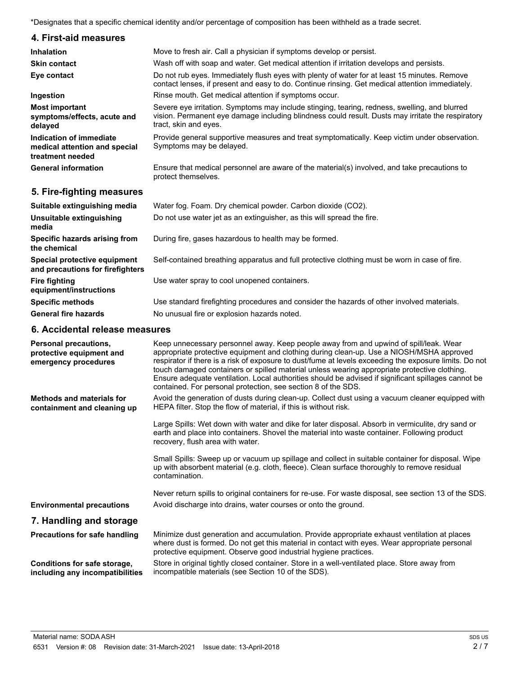\*Designates that a specific chemical identity and/or percentage of composition has been withheld as a trade secret.

#### **4. First-aid measures**

| <b>Inhalation</b>                                                            | Move to fresh air. Call a physician if symptoms develop or persist.                                                                                                                                                         |
|------------------------------------------------------------------------------|-----------------------------------------------------------------------------------------------------------------------------------------------------------------------------------------------------------------------------|
| <b>Skin contact</b>                                                          | Wash off with soap and water. Get medical attention if irritation develops and persists.                                                                                                                                    |
| Eye contact                                                                  | Do not rub eyes. Immediately flush eyes with plenty of water for at least 15 minutes. Remove<br>contact lenses, if present and easy to do. Continue rinsing. Get medical attention immediately.                             |
| Ingestion                                                                    | Rinse mouth. Get medical attention if symptoms occur.                                                                                                                                                                       |
| <b>Most important</b><br>symptoms/effects, acute and<br>delayed              | Severe eye irritation. Symptoms may include stinging, tearing, redness, swelling, and blurred<br>vision. Permanent eye damage including blindness could result. Dusts may irritate the respiratory<br>tract, skin and eyes. |
| Indication of immediate<br>medical attention and special<br>treatment needed | Provide general supportive measures and treat symptomatically. Keep victim under observation.<br>Symptoms may be delayed.                                                                                                   |
| <b>General information</b>                                                   | Ensure that medical personnel are aware of the material(s) involved, and take precautions to<br>protect themselves.                                                                                                         |

### **5. Fire-fighting measures**

| Suitable extinguishing media                                     | Water fog. Foam. Dry chemical powder. Carbon dioxide (CO2).                                   |
|------------------------------------------------------------------|-----------------------------------------------------------------------------------------------|
| Unsuitable extinguishing<br>media                                | Do not use water jet as an extinguisher, as this will spread the fire.                        |
| Specific hazards arising from<br>the chemical                    | During fire, gases hazardous to health may be formed.                                         |
| Special protective equipment<br>and precautions for firefighters | Self-contained breathing apparatus and full protective clothing must be worn in case of fire. |
| <b>Fire fighting</b><br>equipment/instructions                   | Use water spray to cool unopened containers.                                                  |
| <b>Specific methods</b>                                          | Use standard firefighting procedures and consider the hazards of other involved materials.    |
| <b>General fire hazards</b>                                      | No unusual fire or explosion hazards noted.                                                   |

### **6. Accidental release measures**

| Personal precautions,<br>protective equipment and<br>emergency procedures | Keep unnecessary personnel away. Keep people away from and upwind of spill/leak. Wear<br>appropriate protective equipment and clothing during clean-up. Use a NIOSH/MSHA approved<br>respirator if there is a risk of exposure to dust/fume at levels exceeding the exposure limits. Do not<br>touch damaged containers or spilled material unless wearing appropriate protective clothing.<br>Ensure adequate ventilation. Local authorities should be advised if significant spillages cannot be<br>contained. For personal protection, see section 8 of the SDS. |
|---------------------------------------------------------------------------|---------------------------------------------------------------------------------------------------------------------------------------------------------------------------------------------------------------------------------------------------------------------------------------------------------------------------------------------------------------------------------------------------------------------------------------------------------------------------------------------------------------------------------------------------------------------|
| <b>Methods and materials for</b><br>containment and cleaning up           | Avoid the generation of dusts during clean-up. Collect dust using a vacuum cleaner equipped with<br>HEPA filter. Stop the flow of material, if this is without risk.                                                                                                                                                                                                                                                                                                                                                                                                |
|                                                                           | Large Spills: Wet down with water and dike for later disposal. Absorb in vermiculite, dry sand or<br>earth and place into containers. Shovel the material into waste container. Following product<br>recovery, flush area with water.                                                                                                                                                                                                                                                                                                                               |
|                                                                           | Small Spills: Sweep up or vacuum up spillage and collect in suitable container for disposal. Wipe<br>up with absorbent material (e.g. cloth, fleece). Clean surface thoroughly to remove residual<br>contamination.                                                                                                                                                                                                                                                                                                                                                 |
| <b>Environmental precautions</b>                                          | Never return spills to original containers for re-use. For waste disposal, see section 13 of the SDS.<br>Avoid discharge into drains, water courses or onto the ground.                                                                                                                                                                                                                                                                                                                                                                                             |
| 7. Handling and storage                                                   |                                                                                                                                                                                                                                                                                                                                                                                                                                                                                                                                                                     |
| <b>Precautions for safe handling</b>                                      | Minimize dust generation and accumulation. Provide appropriate exhaust ventilation at places<br>where dust is formed. Do not get this material in contact with eyes. Wear appropriate personal<br>protective equipment. Observe good industrial hygiene practices.                                                                                                                                                                                                                                                                                                  |
| Conditions for safe storage,<br>including any incompatibilities           | Store in original tightly closed container. Store in a well-ventilated place. Store away from<br>incompatible materials (see Section 10 of the SDS).                                                                                                                                                                                                                                                                                                                                                                                                                |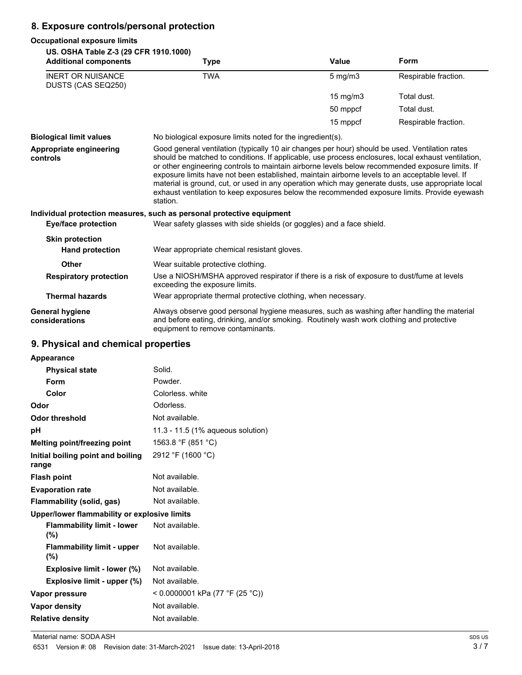# **8. Exposure controls/personal protection**

#### **Occupational exposure limits**

#### **US. OSHA Table Z-3 (29 CFR 1910.1000)**

| US. OSHA Table Z-3 (29 CFR 1910.1000)<br><b>Additional components</b> | Type                                                                                                                                                                                                                                                                                                                                                                                                                                                                                                                                                                                                                       | Value             | Form                 |
|-----------------------------------------------------------------------|----------------------------------------------------------------------------------------------------------------------------------------------------------------------------------------------------------------------------------------------------------------------------------------------------------------------------------------------------------------------------------------------------------------------------------------------------------------------------------------------------------------------------------------------------------------------------------------------------------------------------|-------------------|----------------------|
| <b>INERT OR NUISANCE</b><br>DUSTS (CAS SEQ250)                        | <b>TWA</b>                                                                                                                                                                                                                                                                                                                                                                                                                                                                                                                                                                                                                 | $5$ mg/m $3$      | Respirable fraction. |
|                                                                       |                                                                                                                                                                                                                                                                                                                                                                                                                                                                                                                                                                                                                            | $15 \text{ mg/m}$ | Total dust.          |
|                                                                       |                                                                                                                                                                                                                                                                                                                                                                                                                                                                                                                                                                                                                            | 50 mppcf          | Total dust.          |
|                                                                       |                                                                                                                                                                                                                                                                                                                                                                                                                                                                                                                                                                                                                            | 15 mppcf          | Respirable fraction. |
| <b>Biological limit values</b>                                        | No biological exposure limits noted for the ingredient(s).                                                                                                                                                                                                                                                                                                                                                                                                                                                                                                                                                                 |                   |                      |
| Appropriate engineering<br>controls                                   | Good general ventilation (typically 10 air changes per hour) should be used. Ventilation rates<br>should be matched to conditions. If applicable, use process enclosures, local exhaust ventilation,<br>or other engineering controls to maintain airborne levels below recommended exposure limits. If<br>exposure limits have not been established, maintain airborne levels to an acceptable level. If<br>material is ground, cut, or used in any operation which may generate dusts, use appropriate local<br>exhaust ventilation to keep exposures below the recommended exposure limits. Provide eyewash<br>station. |                   |                      |
|                                                                       | Individual protection measures, such as personal protective equipment                                                                                                                                                                                                                                                                                                                                                                                                                                                                                                                                                      |                   |                      |
| <b>Eye/face protection</b>                                            | Wear safety glasses with side shields (or goggles) and a face shield.                                                                                                                                                                                                                                                                                                                                                                                                                                                                                                                                                      |                   |                      |
| <b>Skin protection</b>                                                |                                                                                                                                                                                                                                                                                                                                                                                                                                                                                                                                                                                                                            |                   |                      |
| <b>Hand protection</b>                                                | Wear appropriate chemical resistant gloves.                                                                                                                                                                                                                                                                                                                                                                                                                                                                                                                                                                                |                   |                      |
| <b>Other</b>                                                          | Wear suitable protective clothing.                                                                                                                                                                                                                                                                                                                                                                                                                                                                                                                                                                                         |                   |                      |
| <b>Respiratory protection</b>                                         | Use a NIOSH/MSHA approved respirator if there is a risk of exposure to dust/fume at levels<br>exceeding the exposure limits.                                                                                                                                                                                                                                                                                                                                                                                                                                                                                               |                   |                      |
| <b>Thermal hazards</b>                                                | Wear appropriate thermal protective clothing, when necessary.                                                                                                                                                                                                                                                                                                                                                                                                                                                                                                                                                              |                   |                      |
| General hygiene<br>considerations                                     | Always observe good personal hygiene measures, such as washing after handling the material<br>and before eating, drinking, and/or smoking. Routinely wash work clothing and protective<br>equipment to remove contaminants.                                                                                                                                                                                                                                                                                                                                                                                                |                   |                      |

# **9. Physical and chemical properties**

| Appearance                                   |                                   |
|----------------------------------------------|-----------------------------------|
| <b>Physical state</b>                        | Solid.                            |
| Form                                         | Powder.                           |
| Color                                        | Colorless, white                  |
| Odor                                         | Odorless.                         |
| <b>Odor threshold</b>                        | Not available.                    |
| рH                                           | 11.3 - 11.5 (1% aqueous solution) |
| Melting point/freezing point                 | 1563.8 °F (851 °C)                |
| Initial boiling point and boiling            | 2912 °F (1600 °C)                 |
| range                                        | Not available.                    |
| <b>Flash point</b>                           |                                   |
| <b>Evaporation rate</b>                      | Not available.                    |
| Flammability (solid, gas)                    | Not available.                    |
| Upper/lower flammability or explosive limits |                                   |
| <b>Flammability limit - lower</b><br>$(\%)$  | Not available.                    |
| <b>Flammability limit - upper</b><br>$(\%)$  | Not available.                    |
| Explosive limit - lower (%)                  | Not available.                    |
| Explosive limit - upper (%)                  | Not available.                    |
| Vapor pressure                               | < 0.0000001 kPa (77 °F (25 °C))   |
| <b>Vapor density</b>                         | Not available.                    |
| <b>Relative density</b>                      | Not available.                    |
|                                              |                                   |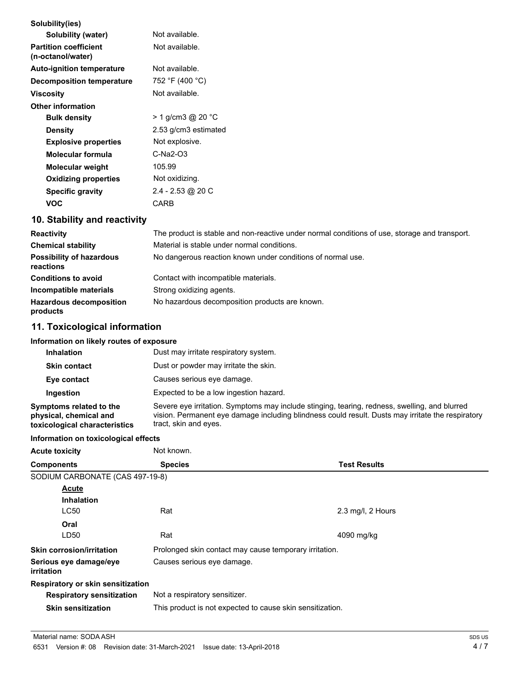| Solubility(ies)                                   |                      |
|---------------------------------------------------|----------------------|
| Solubility (water)                                | Not available.       |
| <b>Partition coefficient</b><br>(n-octanol/water) | Not available.       |
| <b>Auto-ignition temperature</b>                  | Not available.       |
| <b>Decomposition temperature</b>                  | 752 °F (400 °C)      |
| Viscosity                                         | Not available.       |
| <b>Other information</b>                          |                      |
| <b>Bulk density</b>                               | > 1 g/cm3 @ 20 °C    |
| Density                                           | 2.53 g/cm3 estimated |
| <b>Explosive properties</b>                       | Not explosive.       |
| Molecular formula                                 | $C-Na2-03$           |
| Molecular weight                                  | 105.99               |
| <b>Oxidizing properties</b>                       | Not oxidizing.       |
| <b>Specific gravity</b>                           | 2.4 - 2.53 @ 20 C    |
| VOC                                               | CARB                 |
|                                                   |                      |

# **10. Stability and reactivity**

| <b>Reactivity</b>                            | The product is stable and non-reactive under normal conditions of use, storage and transport. |
|----------------------------------------------|-----------------------------------------------------------------------------------------------|
| <b>Chemical stability</b>                    | Material is stable under normal conditions.                                                   |
| <b>Possibility of hazardous</b><br>reactions | No dangerous reaction known under conditions of normal use.                                   |
| <b>Conditions to avoid</b>                   | Contact with incompatible materials.                                                          |
| Incompatible materials                       | Strong oxidizing agents.                                                                      |
| <b>Hazardous decomposition</b><br>products   | No hazardous decomposition products are known.                                                |

# **11. Toxicological information**

#### **Information on likely routes of exposure**

| <b>Inhalation</b>                                                                  | Dust may irritate respiratory system.                                                                                                                                                                                       |
|------------------------------------------------------------------------------------|-----------------------------------------------------------------------------------------------------------------------------------------------------------------------------------------------------------------------------|
| <b>Skin contact</b>                                                                | Dust or powder may irritate the skin.                                                                                                                                                                                       |
| Eye contact                                                                        | Causes serious eye damage.                                                                                                                                                                                                  |
| Ingestion                                                                          | Expected to be a low ingestion hazard.                                                                                                                                                                                      |
| Symptoms related to the<br>physical, chemical and<br>toxicological characteristics | Severe eye irritation. Symptoms may include stinging, tearing, redness, swelling, and blurred<br>vision. Permanent eye damage including blindness could result. Dusts may irritate the respiratory<br>tract, skin and eyes. |

#### **Information on toxicological effects**

| <b>Acute toxicity</b>                       | Not known.                                                |                     |  |
|---------------------------------------------|-----------------------------------------------------------|---------------------|--|
| <b>Components</b>                           | <b>Species</b>                                            | <b>Test Results</b> |  |
| SODIUM CARBONATE (CAS 497-19-8)             |                                                           |                     |  |
| <b>Acute</b>                                |                                                           |                     |  |
| <b>Inhalation</b>                           |                                                           |                     |  |
| <b>LC50</b>                                 | Rat                                                       | 2.3 mg/l, 2 Hours   |  |
| Oral                                        |                                                           |                     |  |
| LD50                                        | Rat                                                       | 4090 mg/kg          |  |
| <b>Skin corrosion/irritation</b>            | Prolonged skin contact may cause temporary irritation.    |                     |  |
| Serious eye damage/eye<br><i>irritation</i> | Causes serious eye damage.                                |                     |  |
| Respiratory or skin sensitization           |                                                           |                     |  |
| <b>Respiratory sensitization</b>            | Not a respiratory sensitizer.                             |                     |  |
| <b>Skin sensitization</b>                   | This product is not expected to cause skin sensitization. |                     |  |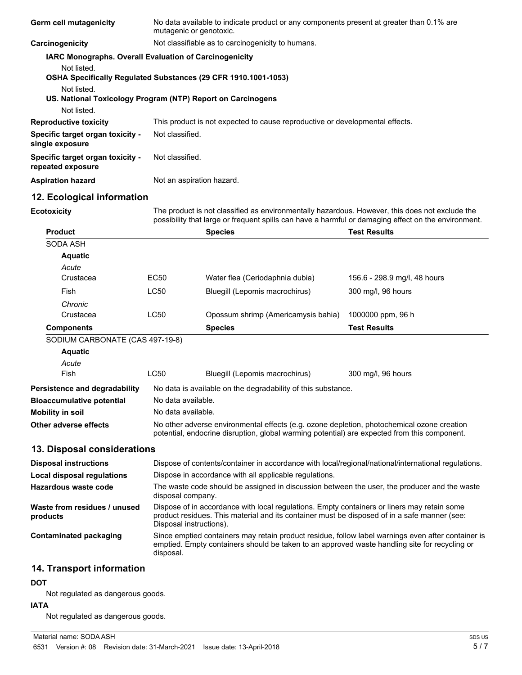| Germ cell mutagenicity                                                                       |                                                                                                                                                                                                                        | No data available to indicate product or any components present at greater than 0.1% are<br>mutagenic or genotoxic. |                              |  |
|----------------------------------------------------------------------------------------------|------------------------------------------------------------------------------------------------------------------------------------------------------------------------------------------------------------------------|---------------------------------------------------------------------------------------------------------------------|------------------------------|--|
| Carcinogenicity                                                                              |                                                                                                                                                                                                                        | Not classifiable as to carcinogenicity to humans.                                                                   |                              |  |
| IARC Monographs. Overall Evaluation of Carcinogenicity                                       |                                                                                                                                                                                                                        |                                                                                                                     |                              |  |
| Not listed.<br>OSHA Specifically Regulated Substances (29 CFR 1910.1001-1053)<br>Not listed. |                                                                                                                                                                                                                        |                                                                                                                     |                              |  |
| US. National Toxicology Program (NTP) Report on Carcinogens                                  |                                                                                                                                                                                                                        |                                                                                                                     |                              |  |
| Not listed.                                                                                  |                                                                                                                                                                                                                        |                                                                                                                     |                              |  |
| <b>Reproductive toxicity</b>                                                                 |                                                                                                                                                                                                                        | This product is not expected to cause reproductive or developmental effects.                                        |                              |  |
| Specific target organ toxicity -<br>single exposure                                          |                                                                                                                                                                                                                        | Not classified.                                                                                                     |                              |  |
| Specific target organ toxicity -<br>repeated exposure                                        | Not classified.                                                                                                                                                                                                        |                                                                                                                     |                              |  |
| <b>Aspiration hazard</b>                                                                     |                                                                                                                                                                                                                        | Not an aspiration hazard.                                                                                           |                              |  |
| 12. Ecological information                                                                   |                                                                                                                                                                                                                        |                                                                                                                     |                              |  |
| <b>Ecotoxicity</b>                                                                           | The product is not classified as environmentally hazardous. However, this does not exclude the<br>possibility that large or frequent spills can have a harmful or damaging effect on the environment.                  |                                                                                                                     |                              |  |
| <b>Product</b>                                                                               |                                                                                                                                                                                                                        | <b>Species</b>                                                                                                      | <b>Test Results</b>          |  |
| SODA ASH                                                                                     |                                                                                                                                                                                                                        |                                                                                                                     |                              |  |
| <b>Aquatic</b>                                                                               |                                                                                                                                                                                                                        |                                                                                                                     |                              |  |
| Acute                                                                                        |                                                                                                                                                                                                                        |                                                                                                                     |                              |  |
| Crustacea                                                                                    | EC50                                                                                                                                                                                                                   | Water flea (Ceriodaphnia dubia)                                                                                     | 156.6 - 298.9 mg/l, 48 hours |  |
| Fish                                                                                         | <b>LC50</b>                                                                                                                                                                                                            | Bluegill (Lepomis macrochirus)                                                                                      | 300 mg/l, 96 hours           |  |
| Chronic                                                                                      |                                                                                                                                                                                                                        |                                                                                                                     |                              |  |
| Crustacea                                                                                    | <b>LC50</b>                                                                                                                                                                                                            | Opossum shrimp (Americamysis bahia)                                                                                 | 1000000 ppm, 96 h            |  |
| <b>Components</b>                                                                            |                                                                                                                                                                                                                        | <b>Species</b>                                                                                                      | <b>Test Results</b>          |  |
| SODIUM CARBONATE (CAS 497-19-8)                                                              |                                                                                                                                                                                                                        |                                                                                                                     |                              |  |
| <b>Aquatic</b><br>Acute                                                                      |                                                                                                                                                                                                                        |                                                                                                                     |                              |  |
| <b>Fish</b>                                                                                  | <b>LC50</b>                                                                                                                                                                                                            | Bluegill (Lepomis macrochirus)                                                                                      | 300 mg/l, 96 hours           |  |
|                                                                                              |                                                                                                                                                                                                                        |                                                                                                                     |                              |  |
| Persistence and degradability<br><b>Bioaccumulative potential</b>                            | No data available.                                                                                                                                                                                                     | No data is available on the degradability of this substance.                                                        |                              |  |
| <b>Mobility in soil</b>                                                                      | No data available.                                                                                                                                                                                                     |                                                                                                                     |                              |  |
| Other adverse effects                                                                        | No other adverse environmental effects (e.g. ozone depletion, photochemical ozone creation<br>potential, endocrine disruption, global warming potential) are expected from this component.                             |                                                                                                                     |                              |  |
| 13. Disposal considerations                                                                  |                                                                                                                                                                                                                        |                                                                                                                     |                              |  |
| <b>Disposal instructions</b>                                                                 |                                                                                                                                                                                                                        | Dispose of contents/container in accordance with local/regional/national/international regulations.                 |                              |  |
| Local disposal regulations                                                                   |                                                                                                                                                                                                                        | Dispose in accordance with all applicable regulations.                                                              |                              |  |
| <b>Hazardous waste code</b>                                                                  | The waste code should be assigned in discussion between the user, the producer and the waste                                                                                                                           |                                                                                                                     |                              |  |
|                                                                                              |                                                                                                                                                                                                                        | disposal company.                                                                                                   |                              |  |
| Waste from residues / unused<br>products                                                     | Dispose of in accordance with local regulations. Empty containers or liners may retain some<br>product residues. This material and its container must be disposed of in a safe manner (see:<br>Disposal instructions). |                                                                                                                     |                              |  |
| <b>Contaminated packaging</b>                                                                | Since emptied containers may retain product residue, follow label warnings even after container is<br>emptied. Empty containers should be taken to an approved waste handling site for recycling or<br>disposal.       |                                                                                                                     |                              |  |
| 14. Transport information                                                                    |                                                                                                                                                                                                                        |                                                                                                                     |                              |  |
| DOT                                                                                          |                                                                                                                                                                                                                        |                                                                                                                     |                              |  |

Not regulated as dangerous goods.

#### **IATA**

Not regulated as dangerous goods.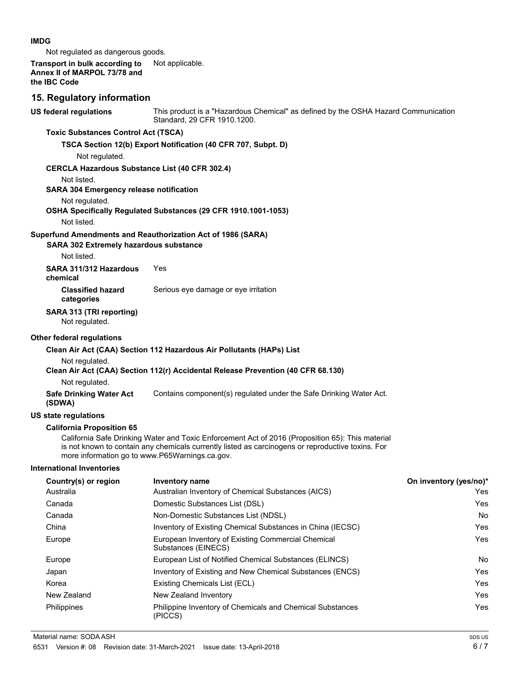#### **IMDG**

Not regulated as dangerous goods.

| Transport in bulk according to<br>Annex II of MARPOL 73/78 and<br>the IBC Code | Not applicable.                                                                                                                                                                                       |                        |
|--------------------------------------------------------------------------------|-------------------------------------------------------------------------------------------------------------------------------------------------------------------------------------------------------|------------------------|
| 15. Regulatory information                                                     |                                                                                                                                                                                                       |                        |
| <b>US federal regulations</b>                                                  | This product is a "Hazardous Chemical" as defined by the OSHA Hazard Communication<br>Standard, 29 CFR 1910.1200.                                                                                     |                        |
| <b>Toxic Substances Control Act (TSCA)</b>                                     |                                                                                                                                                                                                       |                        |
| Not regulated.                                                                 | TSCA Section 12(b) Export Notification (40 CFR 707, Subpt. D)                                                                                                                                         |                        |
| <b>CERCLA Hazardous Substance List (40 CFR 302.4)</b>                          |                                                                                                                                                                                                       |                        |
| Not listed.                                                                    |                                                                                                                                                                                                       |                        |
| <b>SARA 304 Emergency release notification</b>                                 |                                                                                                                                                                                                       |                        |
| Not regulated.<br>Not listed.                                                  | OSHA Specifically Regulated Substances (29 CFR 1910.1001-1053)                                                                                                                                        |                        |
|                                                                                | Superfund Amendments and Reauthorization Act of 1986 (SARA)                                                                                                                                           |                        |
| <b>SARA 302 Extremely hazardous substance</b>                                  |                                                                                                                                                                                                       |                        |
| Not listed.                                                                    |                                                                                                                                                                                                       |                        |
| SARA 311/312 Hazardous<br>chemical                                             | Yes                                                                                                                                                                                                   |                        |
| <b>Classified hazard</b><br>categories                                         | Serious eye damage or eye irritation                                                                                                                                                                  |                        |
| SARA 313 (TRI reporting)<br>Not regulated.                                     |                                                                                                                                                                                                       |                        |
| Other federal regulations                                                      |                                                                                                                                                                                                       |                        |
|                                                                                | Clean Air Act (CAA) Section 112 Hazardous Air Pollutants (HAPs) List                                                                                                                                  |                        |
| Not regulated.                                                                 |                                                                                                                                                                                                       |                        |
|                                                                                | Clean Air Act (CAA) Section 112(r) Accidental Release Prevention (40 CFR 68.130)                                                                                                                      |                        |
| Not regulated.                                                                 |                                                                                                                                                                                                       |                        |
| <b>Safe Drinking Water Act</b><br>(SDWA)                                       | Contains component(s) regulated under the Safe Drinking Water Act.                                                                                                                                    |                        |
| <b>US state regulations</b>                                                    |                                                                                                                                                                                                       |                        |
| <b>California Proposition 65</b>                                               |                                                                                                                                                                                                       |                        |
| more information go to www.P65Warnings.ca.gov.                                 | California Safe Drinking Water and Toxic Enforcement Act of 2016 (Proposition 65): This material<br>is not known to contain any chemicals currently listed as carcinogens or reproductive toxins. For |                        |
| <b>International Inventories</b>                                               |                                                                                                                                                                                                       |                        |
| Country(s) or region                                                           | <b>Inventory name</b>                                                                                                                                                                                 | On inventory (yes/no)* |
| Australia                                                                      | Australian Inventory of Chemical Substances (AICS)                                                                                                                                                    | Yes                    |
| Canada                                                                         | Domestic Substances List (DSL)                                                                                                                                                                        | Yes                    |
| Canada                                                                         | Non-Domestic Substances List (NDSL)                                                                                                                                                                   | No                     |
| China                                                                          | Inventory of Existing Chemical Substances in China (IECSC)                                                                                                                                            | Yes                    |
| Europe                                                                         | European Inventory of Existing Commercial Chemical<br>Substances (EINECS)                                                                                                                             | Yes                    |
| Europe                                                                         | European List of Notified Chemical Substances (ELINCS)                                                                                                                                                | No                     |

Japan Inventory of Existing and New Chemical Substances (ENCS) Tes Korea **Existing Chemicals List (ECL) Existing Chemicals List (ECL) Nes** New Zealand New Zealand Inventory **New Zealand Inventory New Zealand Inventory** Philippines Philippine Inventory of Chemicals and Chemical Substances Yes Yes

(PICCS)